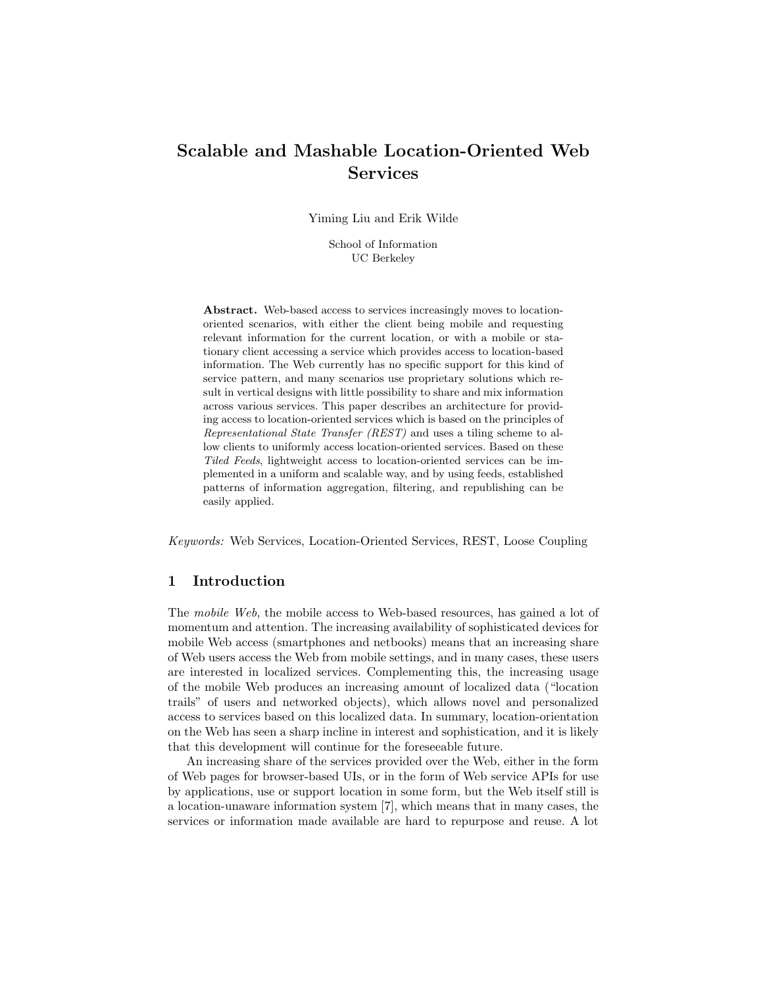# Scalable and Mashable Location-Oriented Web Services

Yiming Liu and Erik Wilde

School of Information UC Berkeley

Abstract. Web-based access to services increasingly moves to locationoriented scenarios, with either the client being mobile and requesting relevant information for the current location, or with a mobile or stationary client accessing a service which provides access to location-based information. The Web currently has no specific support for this kind of service pattern, and many scenarios use proprietary solutions which result in vertical designs with little possibility to share and mix information across various services. This paper describes an architecture for providing access to location-oriented services which is based on the principles of Representational State Transfer (REST) and uses a tiling scheme to allow clients to uniformly access location-oriented services. Based on these Tiled Feeds, lightweight access to location-oriented services can be implemented in a uniform and scalable way, and by using feeds, established patterns of information aggregation, filtering, and republishing can be easily applied.

Keywords: Web Services, Location-Oriented Services, REST, Loose Coupling

# 1 Introduction

The mobile Web, the mobile access to Web-based resources, has gained a lot of momentum and attention. The increasing availability of sophisticated devices for mobile Web access (smartphones and netbooks) means that an increasing share of Web users access the Web from mobile settings, and in many cases, these users are interested in localized services. Complementing this, the increasing usage of the mobile Web produces an increasing amount of localized data ("location trails" of users and networked objects), which allows novel and personalized access to services based on this localized data. In summary, location-orientation on the Web has seen a sharp incline in interest and sophistication, and it is likely that this development will continue for the foreseeable future.

An increasing share of the services provided over the Web, either in the form of Web pages for browser-based UIs, or in the form of Web service APIs for use by applications, use or support location in some form, but the Web itself still is a location-unaware information system [\[7\]](#page-14-0), which means that in many cases, the services or information made available are hard to repurpose and reuse. A lot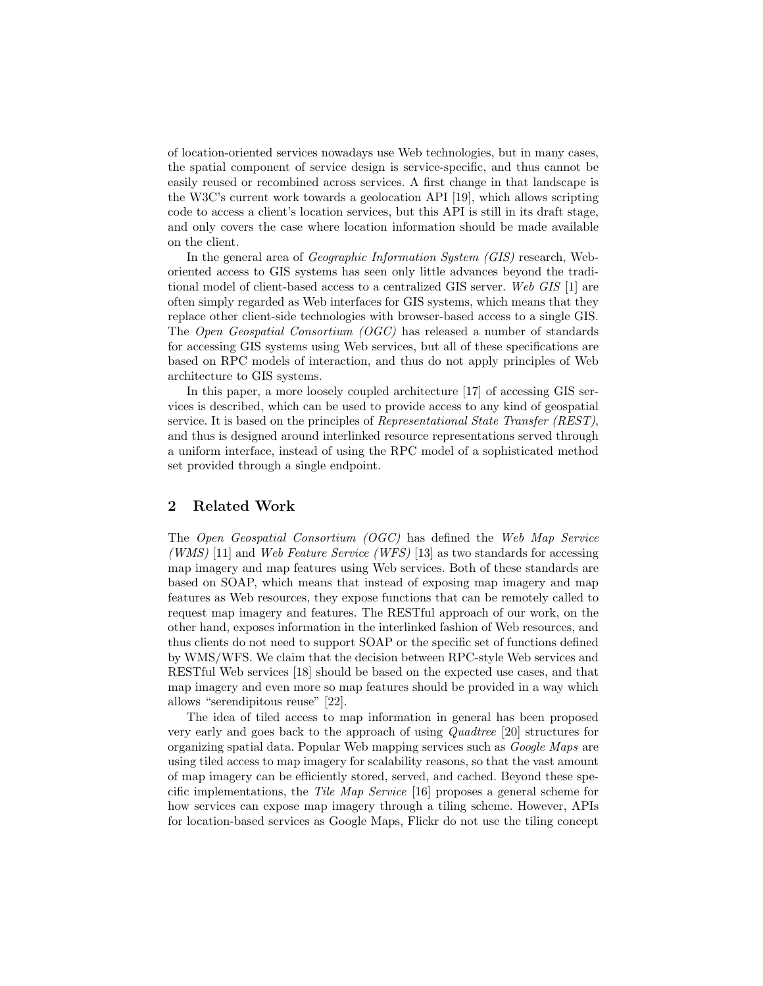of location-oriented services nowadays use Web technologies, but in many cases, the spatial component of service design is service-specific, and thus cannot be easily reused or recombined across services. A first change in that landscape is the W3C's current work towards a geolocation API [\[19\]](#page-14-0), which allows scripting code to access a client's location services, but this API is still in its draft stage, and only covers the case where location information should be made available on the client.

In the general area of *Geographic Information System (GIS)* research, Weboriented access to GIS systems has seen only little advances beyond the traditional model of client-based access to a centralized GIS server. Web GIS [\[1\]](#page-13-0) are often simply regarded as Web interfaces for GIS systems, which means that they replace other client-side technologies with browser-based access to a single GIS. The Open Geospatial Consortium (OGC) has released a number of standards for accessing GIS systems using Web services, but all of these specifications are based on RPC models of interaction, and thus do not apply principles of Web architecture to GIS systems.

In this paper, a more loosely coupled architecture [\[17\]](#page-14-0) of accessing GIS services is described, which can be used to provide access to any kind of geospatial service. It is based on the principles of Representational State Transfer (REST), and thus is designed around interlinked resource representations served through a uniform interface, instead of using the RPC model of a sophisticated method set provided through a single endpoint.

# 2 Related Work

The Open Geospatial Consortium (OGC) has defined the Web Map Service (WMS) [\[11\]](#page-14-0) and Web Feature Service (WFS) [\[13\]](#page-14-0) as two standards for accessing map imagery and map features using Web services. Both of these standards are based on SOAP, which means that instead of exposing map imagery and map features as Web resources, they expose functions that can be remotely called to request map imagery and features. The RESTful approach of our work, on the other hand, exposes information in the interlinked fashion of Web resources, and thus clients do not need to support SOAP or the specific set of functions defined by WMS/WFS. We claim that the decision between RPC-style Web services and RESTful Web services [\[18\]](#page-14-0) should be based on the expected use cases, and that map imagery and even more so map features should be provided in a way which allows "serendipitous reuse" [\[22\]](#page-14-0).

The idea of tiled access to map information in general has been proposed very early and goes back to the approach of using Quadtree [\[20\]](#page-14-0) structures for organizing spatial data. Popular Web mapping services such as Google Maps are using tiled access to map imagery for scalability reasons, so that the vast amount of map imagery can be efficiently stored, served, and cached. Beyond these specific implementations, the Tile Map Service [\[16\]](#page-14-0) proposes a general scheme for how services can expose map imagery through a tiling scheme. However, APIs for location-based services as Google Maps, Flickr do not use the tiling concept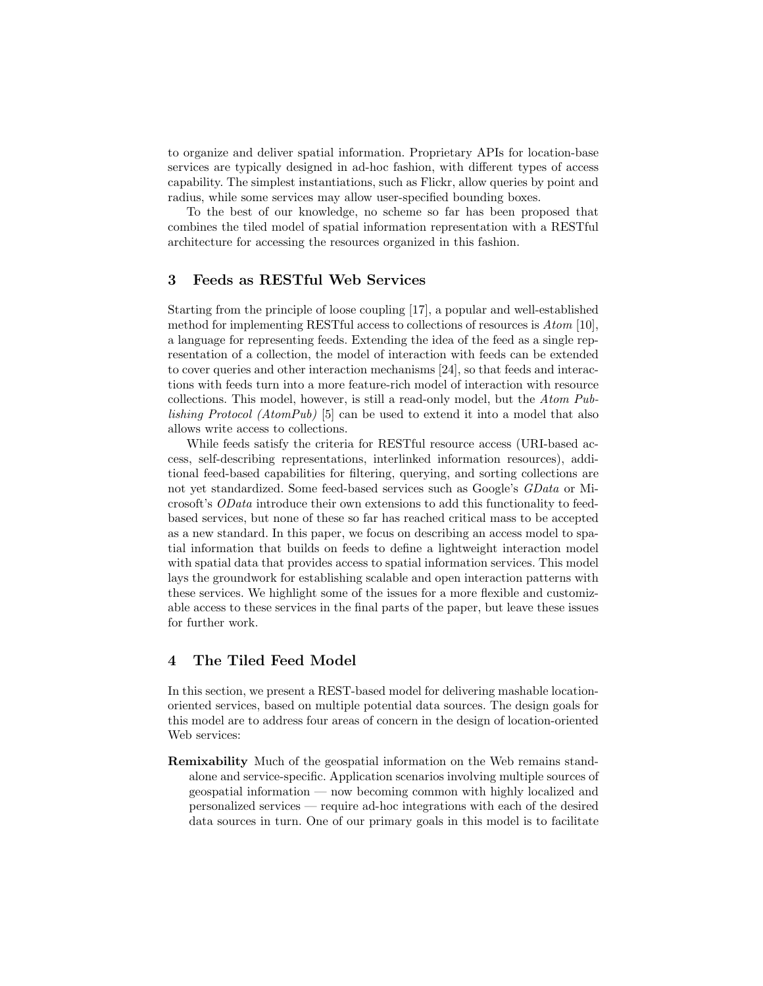to organize and deliver spatial information. Proprietary APIs for location-base services are typically designed in ad-hoc fashion, with different types of access capability. The simplest instantiations, such as Flickr, allow queries by point and radius, while some services may allow user-specified bounding boxes.

To the best of our knowledge, no scheme so far has been proposed that combines the tiled model of spatial information representation with a RESTful architecture for accessing the resources organized in this fashion.

# 3 Feeds as RESTful Web Services

Starting from the principle of loose coupling [\[17\]](#page-14-0), a popular and well-established method for implementing RESTful access to collections of resources is  $Atom$  [\[10\]](#page-14-0), a language for representing feeds. Extending the idea of the feed as a single representation of a collection, the model of interaction with feeds can be extended to cover queries and other interaction mechanisms [\[24\]](#page-14-0), so that feeds and interactions with feeds turn into a more feature-rich model of interaction with resource collections. This model, however, is still a read-only model, but the Atom Publishing Protocol (AtomPub) [\[5\]](#page-14-0) can be used to extend it into a model that also allows write access to collections.

While feeds satisfy the criteria for RESTful resource access (URI-based access, self-describing representations, interlinked information resources), additional feed-based capabilities for filtering, querying, and sorting collections are not yet standardized. Some feed-based services such as Google's GData or Microsoft's OData introduce their own extensions to add this functionality to feedbased services, but none of these so far has reached critical mass to be accepted as a new standard. In this paper, we focus on describing an access model to spatial information that builds on feeds to define a lightweight interaction model with spatial data that provides access to spatial information services. This model lays the groundwork for establishing scalable and open interaction patterns with these services. We highlight some of the issues for a more flexible and customizable access to these services in the final parts of the paper, but leave these issues for further work.

### 4 The Tiled Feed Model

In this section, we present a REST-based model for delivering mashable locationoriented services, based on multiple potential data sources. The design goals for this model are to address four areas of concern in the design of location-oriented Web services:

Remixability Much of the geospatial information on the Web remains standalone and service-specific. Application scenarios involving multiple sources of geospatial information — now becoming common with highly localized and personalized services — require ad-hoc integrations with each of the desired data sources in turn. One of our primary goals in this model is to facilitate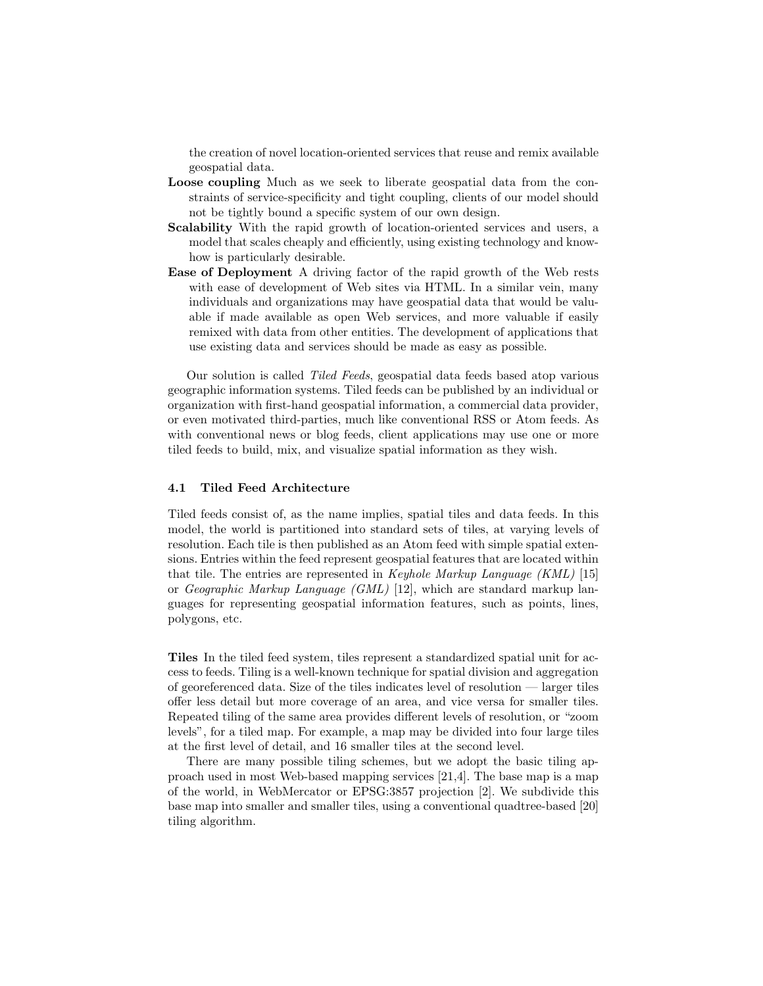the creation of novel location-oriented services that reuse and remix available geospatial data.

- Loose coupling Much as we seek to liberate geospatial data from the constraints of service-specificity and tight coupling, clients of our model should not be tightly bound a specific system of our own design.
- Scalability With the rapid growth of location-oriented services and users, a model that scales cheaply and efficiently, using existing technology and knowhow is particularly desirable.
- Ease of Deployment A driving factor of the rapid growth of the Web rests with ease of development of Web sites via HTML. In a similar vein, many individuals and organizations may have geospatial data that would be valuable if made available as open Web services, and more valuable if easily remixed with data from other entities. The development of applications that use existing data and services should be made as easy as possible.

Our solution is called Tiled Feeds, geospatial data feeds based atop various geographic information systems. Tiled feeds can be published by an individual or organization with first-hand geospatial information, a commercial data provider, or even motivated third-parties, much like conventional RSS or Atom feeds. As with conventional news or blog feeds, client applications may use one or more tiled feeds to build, mix, and visualize spatial information as they wish.

#### 4.1 Tiled Feed Architecture

Tiled feeds consist of, as the name implies, spatial tiles and data feeds. In this model, the world is partitioned into standard sets of tiles, at varying levels of resolution. Each tile is then published as an Atom feed with simple spatial extensions. Entries within the feed represent geospatial features that are located within that tile. The entries are represented in Keyhole Markup Language (KML) [\[15\]](#page-14-0) or Geographic Markup Language (GML) [\[12\]](#page-14-0), which are standard markup languages for representing geospatial information features, such as points, lines, polygons, etc.

Tiles In the tiled feed system, tiles represent a standardized spatial unit for access to feeds. Tiling is a well-known technique for spatial division and aggregation of georeferenced data. Size of the tiles indicates level of resolution — larger tiles offer less detail but more coverage of an area, and vice versa for smaller tiles. Repeated tiling of the same area provides different levels of resolution, or "zoom levels", for a tiled map. For example, a map may be divided into four large tiles at the first level of detail, and 16 smaller tiles at the second level.

There are many possible tiling schemes, but we adopt the basic tiling approach used in most Web-based mapping services [\[21,4\]](#page-14-0). The base map is a map of the world, in WebMercator or EPSG:3857 projection [\[2\]](#page-13-0). We subdivide this base map into smaller and smaller tiles, using a conventional quadtree-based [\[20\]](#page-14-0) tiling algorithm.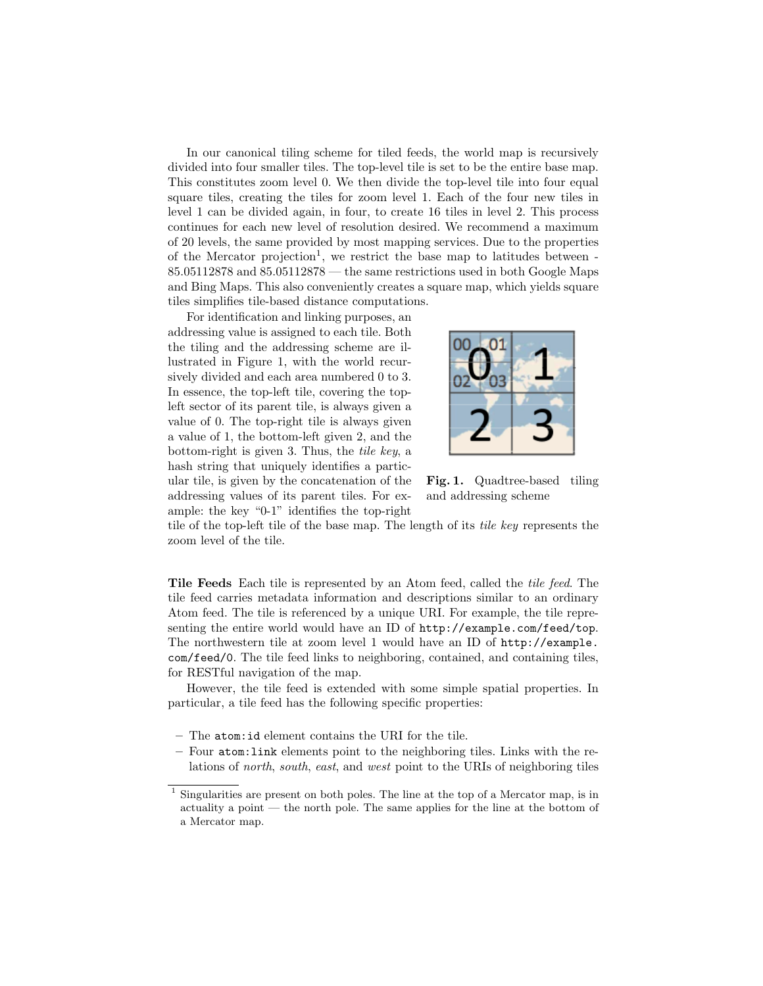In our canonical tiling scheme for tiled feeds, the world map is recursively divided into four smaller tiles. The top-level tile is set to be the entire base map. This constitutes zoom level 0. We then divide the top-level tile into four equal square tiles, creating the tiles for zoom level 1. Each of the four new tiles in level 1 can be divided again, in four, to create 16 tiles in level 2. This process continues for each new level of resolution desired. We recommend a maximum of 20 levels, the same provided by most mapping services. Due to the properties of the Mercator projection<sup>1</sup>, we restrict the base map to latitudes between  $-$ 85.05112878 and 85.05112878 — the same restrictions used in both Google Maps and Bing Maps. This also conveniently creates a square map, which yields square tiles simplifies tile-based distance computations.

For identification and linking purposes, an addressing value is assigned to each tile. Both the tiling and the addressing scheme are illustrated in Figure 1, with the world recursively divided and each area numbered 0 to 3. In essence, the top-left tile, covering the topleft sector of its parent tile, is always given a value of 0. The top-right tile is always given a value of 1, the bottom-left given 2, and the bottom-right is given 3. Thus, the tile key, a hash string that uniquely identifies a particular tile, is given by the concatenation of the addressing values of its parent tiles. For example: the key "0-1" identifies the top-right



Fig. 1. Quadtree-based tiling and addressing scheme

tile of the top-left tile of the base map. The length of its tile key represents the zoom level of the tile.

Tile Feeds Each tile is represented by an Atom feed, called the tile feed. The tile feed carries metadata information and descriptions similar to an ordinary Atom feed. The tile is referenced by a unique URI. For example, the tile representing the entire world would have an ID of <http://example.com/feed/top>. The northwestern tile at zoom level 1 would have an ID of [http://example.](http://example.com/feed/0) [com/feed/0](http://example.com/feed/0). The tile feed links to neighboring, contained, and containing tiles, for RESTful navigation of the map.

However, the tile feed is extended with some simple spatial properties. In particular, a tile feed has the following specific properties:

- The atom:id element contains the URI for the tile.
- Four atom:link elements point to the neighboring tiles. Links with the relations of north, south, east, and west point to the URIs of neighboring tiles

<sup>&</sup>lt;sup>1</sup> Singularities are present on both poles. The line at the top of a Mercator map, is in actuality a point — the north pole. The same applies for the line at the bottom of a Mercator map.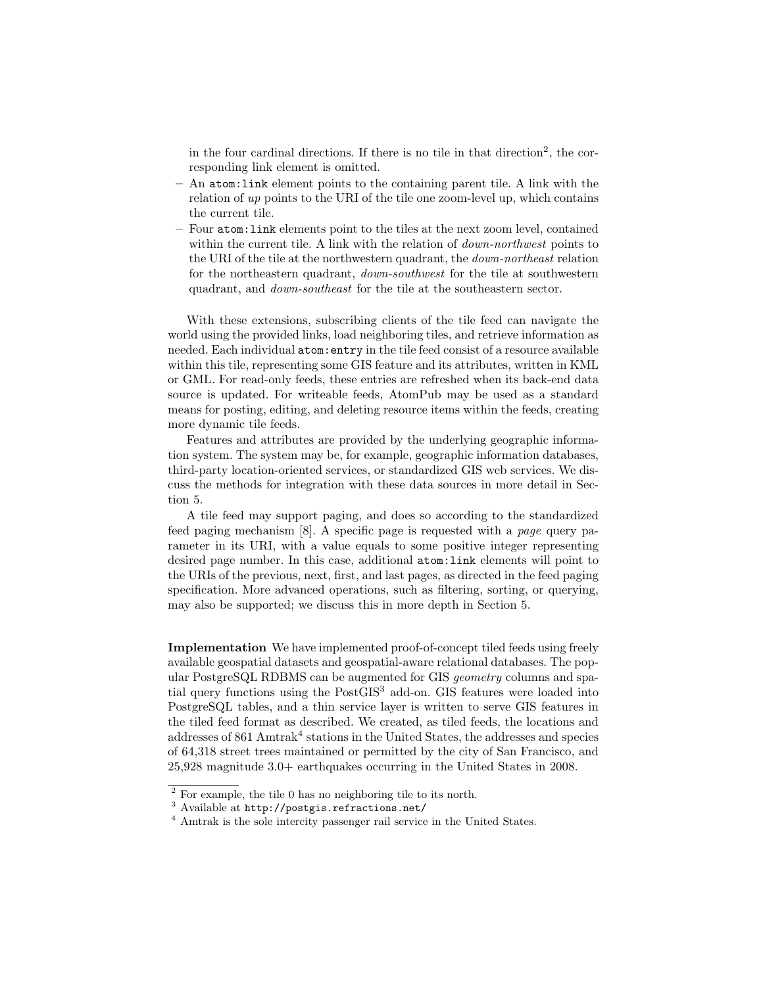in the four cardinal directions. If there is no tile in that direction<sup>2</sup>, the corresponding link element is omitted.

- An atom:link element points to the containing parent tile. A link with the relation of up points to the URI of the tile one zoom-level up, which contains the current tile.
- Four atom:link elements point to the tiles at the next zoom level, contained within the current tile. A link with the relation of *down-northwest* points to the URI of the tile at the northwestern quadrant, the down-northeast relation for the northeastern quadrant, down-southwest for the tile at southwestern quadrant, and down-southeast for the tile at the southeastern sector.

With these extensions, subscribing clients of the tile feed can navigate the world using the provided links, load neighboring tiles, and retrieve information as needed. Each individual atom:entry in the tile feed consist of a resource available within this tile, representing some GIS feature and its attributes, written in KML or GML. For read-only feeds, these entries are refreshed when its back-end data source is updated. For writeable feeds, AtomPub may be used as a standard means for posting, editing, and deleting resource items within the feeds, creating more dynamic tile feeds.

Features and attributes are provided by the underlying geographic information system. The system may be, for example, geographic information databases, third-party location-oriented services, or standardized GIS web services. We discuss the methods for integration with these data sources in more detail in Section [5.](#page-8-0)

A tile feed may support paging, and does so according to the standardized feed paging mechanism [\[8\]](#page-14-0). A specific page is requested with a page query parameter in its URI, with a value equals to some positive integer representing desired page number. In this case, additional atom:link elements will point to the URIs of the previous, next, first, and last pages, as directed in the feed paging specification. More advanced operations, such as filtering, sorting, or querying, may also be supported; we discuss this in more depth in Section [5.](#page-8-0)

Implementation We have implemented proof-of-concept tiled feeds using freely available geospatial datasets and geospatial-aware relational databases. The popular PostgreSQL RDBMS can be augmented for GIS geometry columns and spatial query functions using the PostGIS<sup>3</sup> add-on. GIS features were loaded into PostgreSQL tables, and a thin service layer is written to serve GIS features in the tiled feed format as described. We created, as tiled feeds, the locations and  $\alpha$ ddresses of 861 Amtrak<sup>4</sup> stations in the United States, the addresses and species of 64,318 street trees maintained or permitted by the city of San Francisco, and 25,928 magnitude 3.0+ earthquakes occurring in the United States in 2008.

<sup>2</sup> For example, the tile 0 has no neighboring tile to its north.

<sup>3</sup> Available at <http://postgis.refractions.net/>

<sup>4</sup> Amtrak is the sole intercity passenger rail service in the United States.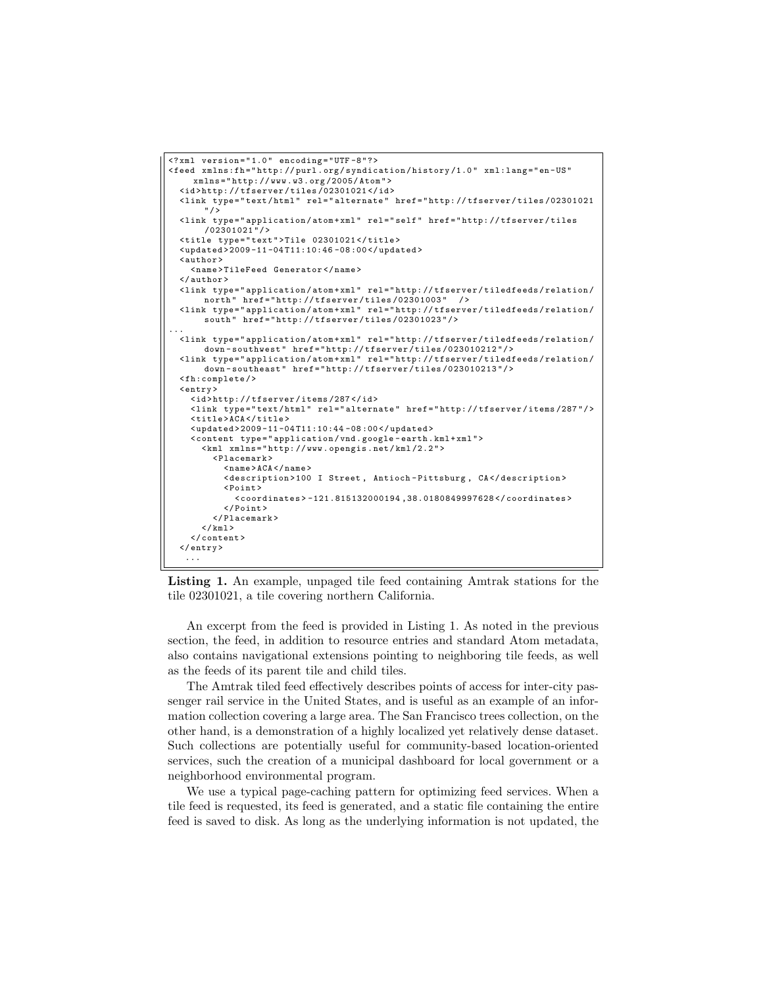```
<? xml version = " 1.0 " encoding =" UTF -8 "? >
< feed xmlns:fh =" http: // purl . org / syndication / history /1.0 " xml:lang =" en - US "
     xmlns =" http: // www . w3 . org /2005/ Atom " >
  <id > http: // tfserver / tiles /02301021 </ id >
  < link type =" text / html " rel =" alternate " href =" http: // tfserver / tiles /02301021
        "/ >
  < link type =" application / atom + xml " rel =" self " href =" http: // tfserver / tiles
       /02301021 " / >
  < title type =" text " > Tile 02301021 </ title >
  < updated > 2009 -11 -04 T11:10:46 -08 :00 </ updated >
  < author >
     < name > TileFeed Generator </ name >
  </ author >
  < link type =" application / atom + xml " rel =" http: // tfserver / tiledfeeds / relation /
      north" href="http://tfserver/tiles/02301003" />
  < link type =" application / atom + xml " rel =" http: // tfserver / tiledfeeds / relation /
       south" href="http://tfserver/tiles/02301023"/>
...
  < link type =" application / atom + xml " rel =" http: // tfserver / tiledfeeds / relation /
       down - southwest " href =" http: // tfserver / tiles /023010212 "/ >
  < link type =" application / atom + xml " rel =" http: // tfserver / tiledfeeds / relation /
       down-southeast" href="http://tfserver/tiles/023010213"/>
  < fh:complete / >
  < entry >
    <id > http: // tfserver / items /287 </ id >
    < link type =" text / html " rel =" alternate " href =" http: // tfserver / items /287 "/ >
    < title > ACA </ title >
     < updated > 2009 -11 -04 T11:10:44 -08 :00 </ updated >
     < content type = " application / vnd . google - earth . kml + xml " >
       < kml xmlns =" http: // www . opengis . net / kml /2.2 " >
         < Placemark >
            < name > ACA </ name >
            < description > 100 I Street , Antioch - Pittsburg , CA </ description >
            < Point >< coordinates > -121.815132000194 ,38.0180849997628 </ coordinates >
            \langle/Point>
         </ Placemark >
       \langle/kml>
     </ content >
  </ entry >
    ...
```


An excerpt from the feed is provided in Listing 1. As noted in the previous section, the feed, in addition to resource entries and standard Atom metadata, also contains navigational extensions pointing to neighboring tile feeds, as well as the feeds of its parent tile and child tiles.

The Amtrak tiled feed effectively describes points of access for inter-city passenger rail service in the United States, and is useful as an example of an information collection covering a large area. The San Francisco trees collection, on the other hand, is a demonstration of a highly localized yet relatively dense dataset. Such collections are potentially useful for community-based location-oriented services, such the creation of a municipal dashboard for local government or a neighborhood environmental program.

We use a typical page-caching pattern for optimizing feed services. When a tile feed is requested, its feed is generated, and a static file containing the entire feed is saved to disk. As long as the underlying information is not updated, the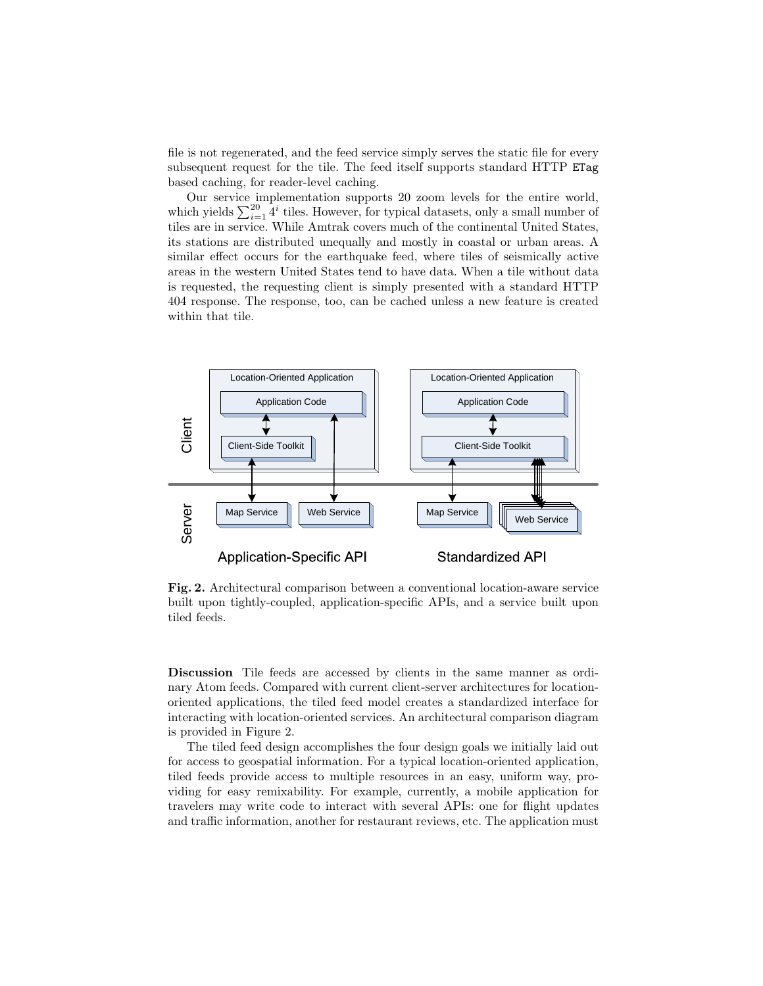file is not regenerated, and the feed service simply serves the static file for every subsequent request for the tile. The feed itself supports standard HTTP ETag based caching, for reader-level caching.

Our service implementation supports 20 zoom levels for the entire world, which yields  $\sum_{i=1}^{20} 4^i$  tiles. However, for typical datasets, only a small number of tiles are in service. While Amtrak covers much of the continental United States, its stations are distributed unequally and mostly in coastal or urban areas. A similar effect occurs for the earthquake feed, where tiles of seismically active areas in the western United States tend to have data. When a tile without data is requested, the requesting client is simply presented with a standard HTTP 404 response. The response, too, can be cached unless a new feature is created within that tile.



Fig. 2. Architectural comparison between a conventional location-aware service built upon tightly-coupled, application-specific APIs, and a service built upon tiled feeds.

Discussion Tile feeds are accessed by clients in the same manner as ordinary Atom feeds. Compared with current client-server architectures for locationoriented applications, the tiled feed model creates a standardized interface for interacting with location-oriented services. An architectural comparison diagram is provided in Figure 2.

The tiled feed design accomplishes the four design goals we initially laid out for access to geospatial information. For a typical location-oriented application, tiled feeds provide access to multiple resources in an easy, uniform way, providing for easy remixability. For example, currently, a mobile application for travelers may write code to interact with several APIs: one for flight updates and traffic information, another for restaurant reviews, etc. The application must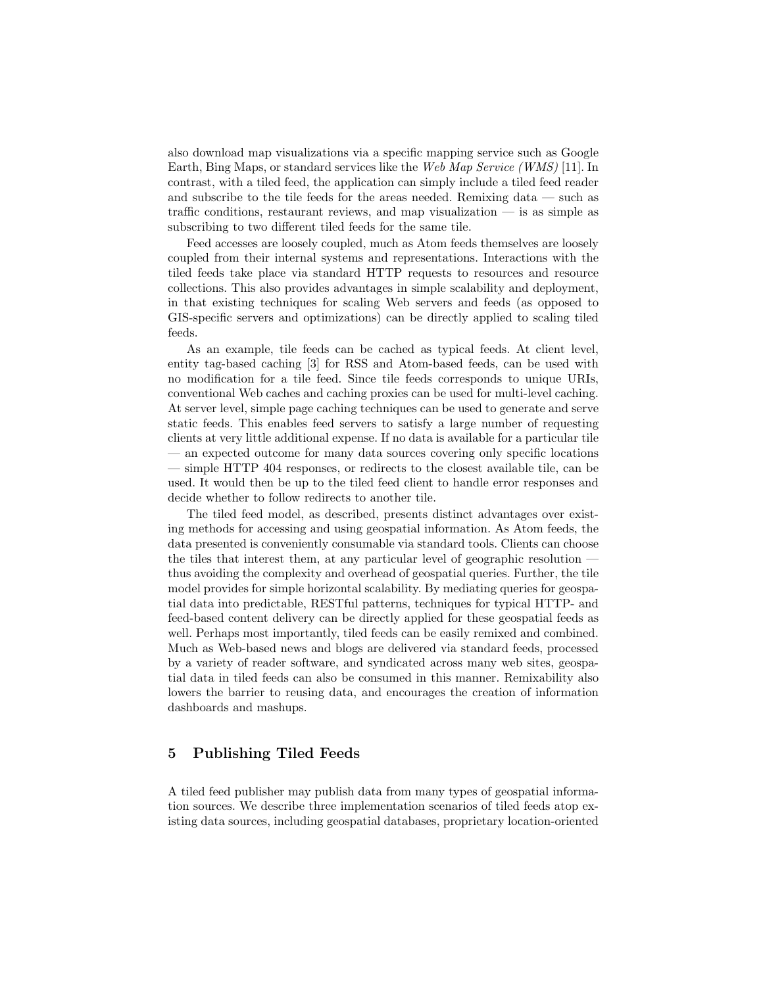<span id="page-8-0"></span>also download map visualizations via a specific mapping service such as Google Earth, Bing Maps, or standard services like the Web Map Service (WMS) [\[11\]](#page-14-0). In contrast, with a tiled feed, the application can simply include a tiled feed reader and subscribe to the tile feeds for the areas needed. Remixing data — such as traffic conditions, restaurant reviews, and map visualization  $-$  is as simple as subscribing to two different tiled feeds for the same tile.

Feed accesses are loosely coupled, much as Atom feeds themselves are loosely coupled from their internal systems and representations. Interactions with the tiled feeds take place via standard HTTP requests to resources and resource collections. This also provides advantages in simple scalability and deployment, in that existing techniques for scaling Web servers and feeds (as opposed to GIS-specific servers and optimizations) can be directly applied to scaling tiled feeds.

As an example, tile feeds can be cached as typical feeds. At client level, entity tag-based caching [\[3\]](#page-13-0) for RSS and Atom-based feeds, can be used with no modification for a tile feed. Since tile feeds corresponds to unique URIs, conventional Web caches and caching proxies can be used for multi-level caching. At server level, simple page caching techniques can be used to generate and serve static feeds. This enables feed servers to satisfy a large number of requesting clients at very little additional expense. If no data is available for a particular tile — an expected outcome for many data sources covering only specific locations — simple HTTP 404 responses, or redirects to the closest available tile, can be used. It would then be up to the tiled feed client to handle error responses and decide whether to follow redirects to another tile.

The tiled feed model, as described, presents distinct advantages over existing methods for accessing and using geospatial information. As Atom feeds, the data presented is conveniently consumable via standard tools. Clients can choose the tiles that interest them, at any particular level of geographic resolution thus avoiding the complexity and overhead of geospatial queries. Further, the tile model provides for simple horizontal scalability. By mediating queries for geospatial data into predictable, RESTful patterns, techniques for typical HTTP- and feed-based content delivery can be directly applied for these geospatial feeds as well. Perhaps most importantly, tiled feeds can be easily remixed and combined. Much as Web-based news and blogs are delivered via standard feeds, processed by a variety of reader software, and syndicated across many web sites, geospatial data in tiled feeds can also be consumed in this manner. Remixability also lowers the barrier to reusing data, and encourages the creation of information dashboards and mashups.

### 5 Publishing Tiled Feeds

A tiled feed publisher may publish data from many types of geospatial information sources. We describe three implementation scenarios of tiled feeds atop existing data sources, including geospatial databases, proprietary location-oriented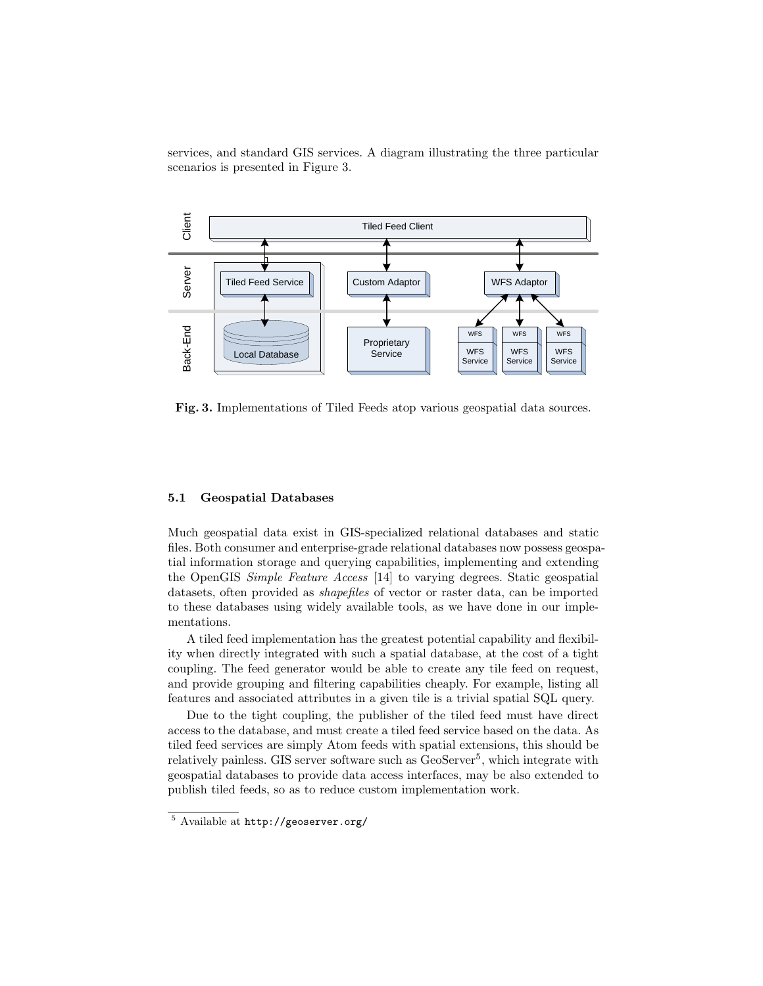services, and standard GIS services. A diagram illustrating the three particular scenarios is presented in Figure 3.



Fig. 3. Implementations of Tiled Feeds atop various geospatial data sources.

#### 5.1 Geospatial Databases

Much geospatial data exist in GIS-specialized relational databases and static files. Both consumer and enterprise-grade relational databases now possess geospatial information storage and querying capabilities, implementing and extending the OpenGIS Simple Feature Access [\[14\]](#page-14-0) to varying degrees. Static geospatial datasets, often provided as shapefiles of vector or raster data, can be imported to these databases using widely available tools, as we have done in our implementations.

A tiled feed implementation has the greatest potential capability and flexibility when directly integrated with such a spatial database, at the cost of a tight coupling. The feed generator would be able to create any tile feed on request, and provide grouping and filtering capabilities cheaply. For example, listing all features and associated attributes in a given tile is a trivial spatial SQL query.

Due to the tight coupling, the publisher of the tiled feed must have direct access to the database, and must create a tiled feed service based on the data. As tiled feed services are simply Atom feeds with spatial extensions, this should be relatively painless. GIS server software such as GeoServer<sup>5</sup>, which integrate with geospatial databases to provide data access interfaces, may be also extended to publish tiled feeds, so as to reduce custom implementation work.

<sup>5</sup> Available at <http://geoserver.org/>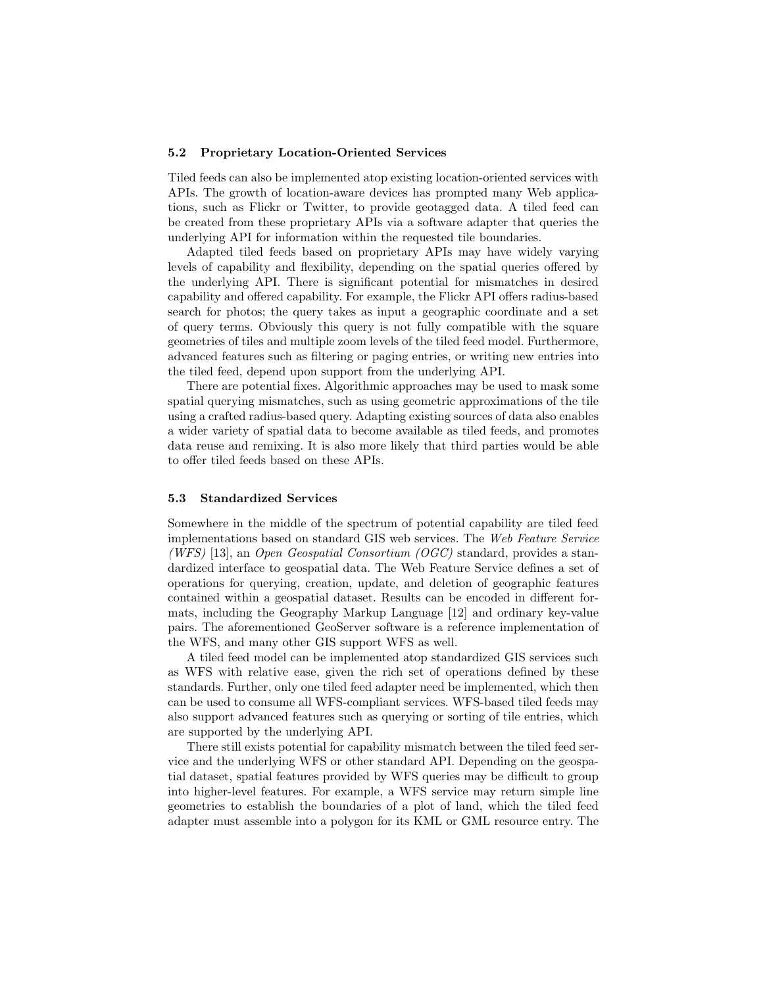#### 5.2 Proprietary Location-Oriented Services

Tiled feeds can also be implemented atop existing location-oriented services with APIs. The growth of location-aware devices has prompted many Web applications, such as Flickr or Twitter, to provide geotagged data. A tiled feed can be created from these proprietary APIs via a software adapter that queries the underlying API for information within the requested tile boundaries.

Adapted tiled feeds based on proprietary APIs may have widely varying levels of capability and flexibility, depending on the spatial queries offered by the underlying API. There is significant potential for mismatches in desired capability and offered capability. For example, the Flickr API offers radius-based search for photos; the query takes as input a geographic coordinate and a set of query terms. Obviously this query is not fully compatible with the square geometries of tiles and multiple zoom levels of the tiled feed model. Furthermore, advanced features such as filtering or paging entries, or writing new entries into the tiled feed, depend upon support from the underlying API.

There are potential fixes. Algorithmic approaches may be used to mask some spatial querying mismatches, such as using geometric approximations of the tile using a crafted radius-based query. Adapting existing sources of data also enables a wider variety of spatial data to become available as tiled feeds, and promotes data reuse and remixing. It is also more likely that third parties would be able to offer tiled feeds based on these APIs.

#### 5.3 Standardized Services

Somewhere in the middle of the spectrum of potential capability are tiled feed implementations based on standard GIS web services. The Web Feature Service (WFS) [\[13\]](#page-14-0), an Open Geospatial Consortium (OGC) standard, provides a standardized interface to geospatial data. The Web Feature Service defines a set of operations for querying, creation, update, and deletion of geographic features contained within a geospatial dataset. Results can be encoded in different formats, including the Geography Markup Language [\[12\]](#page-14-0) and ordinary key-value pairs. The aforementioned GeoServer software is a reference implementation of the WFS, and many other GIS support WFS as well.

A tiled feed model can be implemented atop standardized GIS services such as WFS with relative ease, given the rich set of operations defined by these standards. Further, only one tiled feed adapter need be implemented, which then can be used to consume all WFS-compliant services. WFS-based tiled feeds may also support advanced features such as querying or sorting of tile entries, which are supported by the underlying API.

There still exists potential for capability mismatch between the tiled feed service and the underlying WFS or other standard API. Depending on the geospatial dataset, spatial features provided by WFS queries may be difficult to group into higher-level features. For example, a WFS service may return simple line geometries to establish the boundaries of a plot of land, which the tiled feed adapter must assemble into a polygon for its KML or GML resource entry. The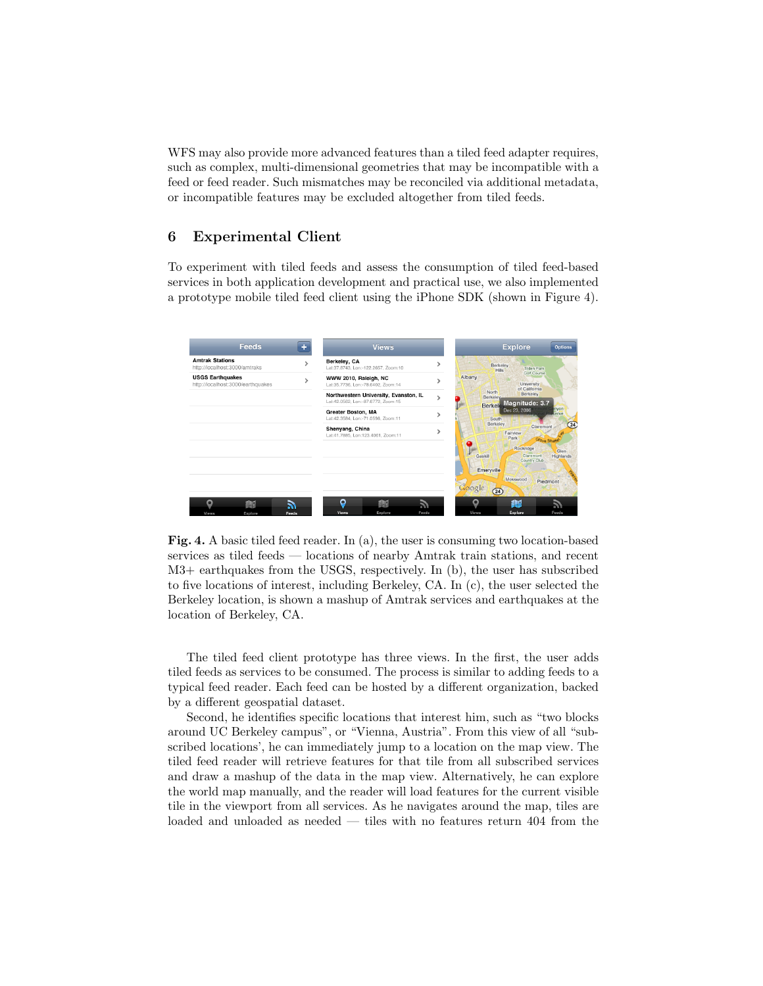WFS may also provide more advanced features than a tiled feed adapter requires, such as complex, multi-dimensional geometries that may be incompatible with a feed or feed reader. Such mismatches may be reconciled via additional metadata, or incompatible features may be excluded altogether from tiled feeds.

# 6 Experimental Client

To experiment with tiled feeds and assess the consumption of tiled feed-based services in both application development and practical use, we also implemented a prototype mobile tiled feed client using the iPhone SDK (shown in Figure 4).

| <b>Feeds</b>                                                 |            | <b>Views</b>                                                                | <b>Explore</b><br><b>Options</b>                                                                                                                                                   |
|--------------------------------------------------------------|------------|-----------------------------------------------------------------------------|------------------------------------------------------------------------------------------------------------------------------------------------------------------------------------|
| <b>Amtrak Stations</b><br>http://localhost:3000/amtraks      |            | Berkeley, CA<br>Lat:37.8743, Lon:-122.2657, Zoom:10                         | Berkeley.<br><b>Tiden Park</b><br>Hills                                                                                                                                            |
| <b>USGS Earthquakes</b><br>http://localhost:3000/earthquakes |            | WWW 2010, Raleigh, NC<br>Lat:35.7736, Lon:-78.6402, Zoom:14                 | Golf Course<br>Albany<br>University.<br>of California                                                                                                                              |
|                                                              |            | Northwestern University, Evanston, IL<br>Lat:42.0562, Lon:-87.6772, Zoom:15 | North<br>Berkeley<br>Berkeley<br>Magnitude: 3.7<br><b>Berkel</b><br>Dec 23, 2006<br><b>TWO</b><br>South<br><b>Berkeley</b><br>(24)<br>Claremont<br>Fairview<br>Park<br>Grove Shane |
|                                                              |            | Greater Boston, MA<br>Lat:42.3584, Lon:-71.0598, Zoom:11                    |                                                                                                                                                                                    |
|                                                              |            | Shenyang, China<br>Lat:41.7885, Lon:123.4061, Zoom:11                       |                                                                                                                                                                                    |
|                                                              |            |                                                                             | Rockridge<br>Glen<br>Claremont<br>Highlands<br>Gaskill<br>Country Club<br>Emeryville<br>Mosswood<br>Piedmont                                                                       |
| 触<br>$\bullet$<br>Explore<br><b>Views</b>                    | R<br>Feeds | о<br>15<br>51<br>Explore<br>Feeds<br><b>Views</b>                           | Google<br>(24)<br><b>FINE</b><br>о<br>Views<br>Explore<br>Feeds                                                                                                                    |

Fig. 4. A basic tiled feed reader. In (a), the user is consuming two location-based services as tiled feeds — locations of nearby Amtrak train stations, and recent M3+ earthquakes from the USGS, respectively. In (b), the user has subscribed to five locations of interest, including Berkeley, CA. In (c), the user selected the Berkeley location, is shown a mashup of Amtrak services and earthquakes at the location of Berkeley, CA.

The tiled feed client prototype has three views. In the first, the user adds tiled feeds as services to be consumed. The process is similar to adding feeds to a typical feed reader. Each feed can be hosted by a different organization, backed by a different geospatial dataset.

Second, he identifies specific locations that interest him, such as "two blocks around UC Berkeley campus", or "Vienna, Austria". From this view of all "subscribed locations', he can immediately jump to a location on the map view. The tiled feed reader will retrieve features for that tile from all subscribed services and draw a mashup of the data in the map view. Alternatively, he can explore the world map manually, and the reader will load features for the current visible tile in the viewport from all services. As he navigates around the map, tiles are loaded and unloaded as needed — tiles with no features return 404 from the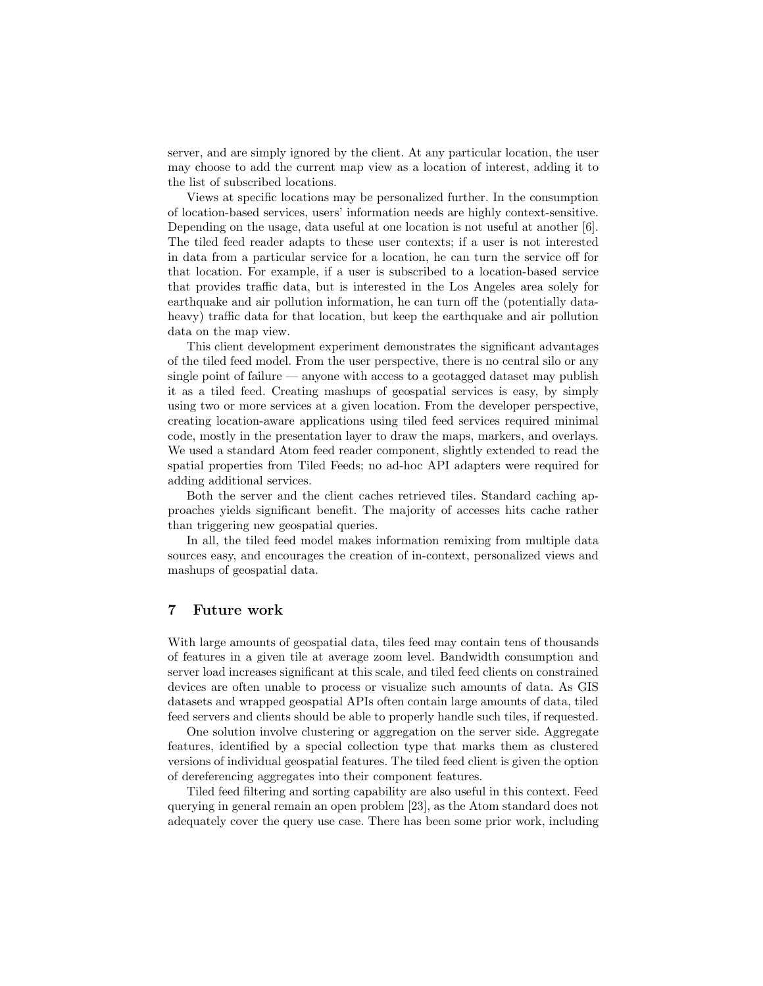server, and are simply ignored by the client. At any particular location, the user may choose to add the current map view as a location of interest, adding it to the list of subscribed locations.

Views at specific locations may be personalized further. In the consumption of location-based services, users' information needs are highly context-sensitive. Depending on the usage, data useful at one location is not useful at another [\[6\]](#page-14-0). The tiled feed reader adapts to these user contexts; if a user is not interested in data from a particular service for a location, he can turn the service off for that location. For example, if a user is subscribed to a location-based service that provides traffic data, but is interested in the Los Angeles area solely for earthquake and air pollution information, he can turn off the (potentially dataheavy) traffic data for that location, but keep the earthquake and air pollution data on the map view.

This client development experiment demonstrates the significant advantages of the tiled feed model. From the user perspective, there is no central silo or any single point of failure — anyone with access to a geotagged dataset may publish it as a tiled feed. Creating mashups of geospatial services is easy, by simply using two or more services at a given location. From the developer perspective, creating location-aware applications using tiled feed services required minimal code, mostly in the presentation layer to draw the maps, markers, and overlays. We used a standard Atom feed reader component, slightly extended to read the spatial properties from Tiled Feeds; no ad-hoc API adapters were required for adding additional services.

Both the server and the client caches retrieved tiles. Standard caching approaches yields significant benefit. The majority of accesses hits cache rather than triggering new geospatial queries.

In all, the tiled feed model makes information remixing from multiple data sources easy, and encourages the creation of in-context, personalized views and mashups of geospatial data.

# 7 Future work

With large amounts of geospatial data, tiles feed may contain tens of thousands of features in a given tile at average zoom level. Bandwidth consumption and server load increases significant at this scale, and tiled feed clients on constrained devices are often unable to process or visualize such amounts of data. As GIS datasets and wrapped geospatial APIs often contain large amounts of data, tiled feed servers and clients should be able to properly handle such tiles, if requested.

One solution involve clustering or aggregation on the server side. Aggregate features, identified by a special collection type that marks them as clustered versions of individual geospatial features. The tiled feed client is given the option of dereferencing aggregates into their component features.

Tiled feed filtering and sorting capability are also useful in this context. Feed querying in general remain an open problem [\[23\]](#page-14-0), as the Atom standard does not adequately cover the query use case. There has been some prior work, including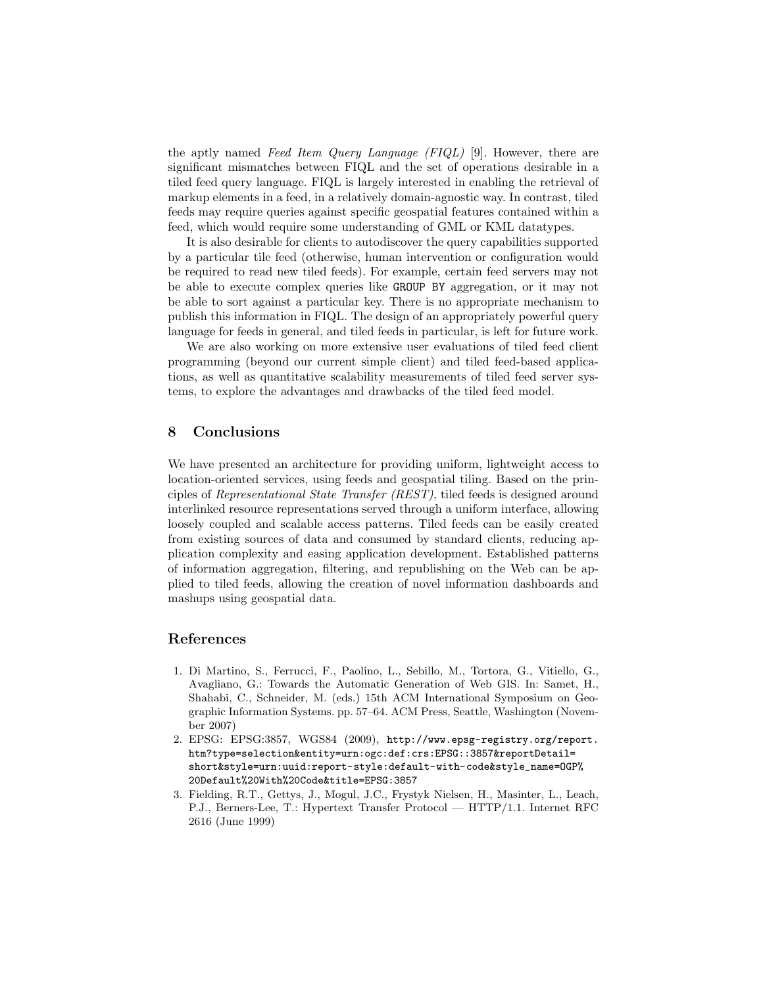<span id="page-13-0"></span>the aptly named Feed Item Query Language  $(FIQL)$  [\[9\]](#page-14-0). However, there are significant mismatches between FIQL and the set of operations desirable in a tiled feed query language. FIQL is largely interested in enabling the retrieval of markup elements in a feed, in a relatively domain-agnostic way. In contrast, tiled feeds may require queries against specific geospatial features contained within a feed, which would require some understanding of GML or KML datatypes.

It is also desirable for clients to autodiscover the query capabilities supported by a particular tile feed (otherwise, human intervention or configuration would be required to read new tiled feeds). For example, certain feed servers may not be able to execute complex queries like GROUP BY aggregation, or it may not be able to sort against a particular key. There is no appropriate mechanism to publish this information in FIQL. The design of an appropriately powerful query language for feeds in general, and tiled feeds in particular, is left for future work.

We are also working on more extensive user evaluations of tiled feed client programming (beyond our current simple client) and tiled feed-based applications, as well as quantitative scalability measurements of tiled feed server systems, to explore the advantages and drawbacks of the tiled feed model.

#### 8 Conclusions

We have presented an architecture for providing uniform, lightweight access to location-oriented services, using feeds and geospatial tiling. Based on the principles of Representational State Transfer (REST), tiled feeds is designed around interlinked resource representations served through a uniform interface, allowing loosely coupled and scalable access patterns. Tiled feeds can be easily created from existing sources of data and consumed by standard clients, reducing application complexity and easing application development. Established patterns of information aggregation, filtering, and republishing on the Web can be applied to tiled feeds, allowing the creation of novel information dashboards and mashups using geospatial data.

### References

- 1. Di Martino, S., Ferrucci, F., Paolino, L., Sebillo, M., Tortora, G., Vitiello, G., Avagliano, G.: Towards the Automatic Generation of Web GIS. In: Samet, H., Shahabi, C., Schneider, M. (eds.) 15th ACM International Symposium on Geographic Information Systems. pp. 57–64. ACM Press, Seattle, Washington (November 2007)
- 2. EPSG: EPSG:3857, WGS84 (2009), [http://www.epsg-registry.org/report.](http://www.epsg-registry.org/report.htm?type=selection&entity=urn:ogc:def:crs:EPSG::3857&reportDetail=short&style=urn:uuid:report-style:default-with-code&style_name=OGP%20Default%20With%20Code&title=EPSG:3857) [htm?type=selection&entity=urn:ogc:def:crs:EPSG::3857&reportDetail=](http://www.epsg-registry.org/report.htm?type=selection&entity=urn:ogc:def:crs:EPSG::3857&reportDetail=short&style=urn:uuid:report-style:default-with-code&style_name=OGP%20Default%20With%20Code&title=EPSG:3857) [short&style=urn:uuid:report-style:default-with-code&style\\_name=OGP%](http://www.epsg-registry.org/report.htm?type=selection&entity=urn:ogc:def:crs:EPSG::3857&reportDetail=short&style=urn:uuid:report-style:default-with-code&style_name=OGP%20Default%20With%20Code&title=EPSG:3857) [20Default%20With%20Code&title=EPSG:3857](http://www.epsg-registry.org/report.htm?type=selection&entity=urn:ogc:def:crs:EPSG::3857&reportDetail=short&style=urn:uuid:report-style:default-with-code&style_name=OGP%20Default%20With%20Code&title=EPSG:3857)
- 3. Fielding, R.T., Gettys, J., Mogul, J.C., Frystyk Nielsen, H., Masinter, L., Leach, P.J., Berners-Lee, T.: Hypertext Transfer Protocol — HTTP/1.1. Internet RFC 2616 (June 1999)